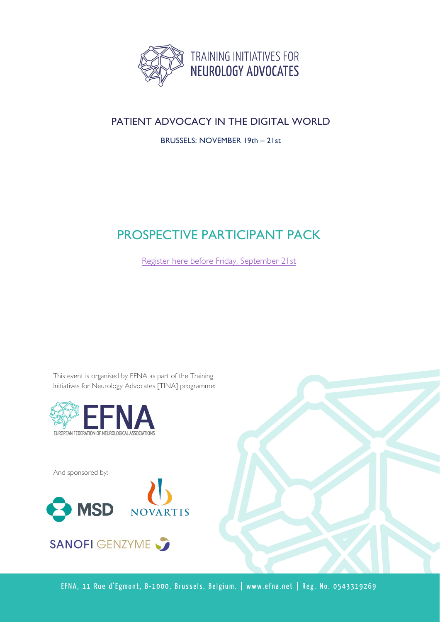

## PATIENT ADVOCACY IN THE DIGITAL WORLD

BRUSSELS: NOVEMBER 19th – 21st

# PROSPECTIVE PARTICIPANT PACK

[Register here before Friday, September](https://docs.google.com/forms/d/e/1FAIpQLSekCd5WKSW1quZU7hs1FpsDaOt8BpUFOWGcDN1XBapsVoTQIg/viewform) 21st

This event is organised by EFNA as part of the Training Initiatives for Neurology Advocates [TINA] programme:



And sponsored by:



**SANOFI GENZYME** 

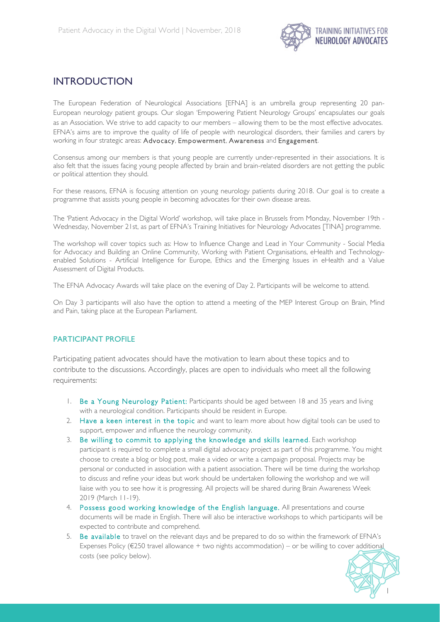

### INTRODUCTION

The European Federation of Neurological Associations [EFNA] is an umbrella group representing 20 pan-European neurology patient groups. Our slogan 'Empowering Patient Neurology Groups' encapsulates our goals as an Association. We strive to add capacity to our members – allowing them to be the most effective advocates. EFNA's aims are to improve the quality of life of people with neurological disorders, their families and carers by working in four strategic areas: Advocacy, Empowerment, Awareness and Engagement.

Consensus among our members is that young people are currently under-represented in their associations. It is also felt that the issues facing young people affected by brain and brain-related disorders are not getting the public or political attention they should.

For these reasons, EFNA is focusing attention on young neurology patients during 2018. Our goal is to create a programme that assists young people in becoming advocates for their own disease areas.

The 'Patient Advocacy in the Digital World' workshop, will take place in Brussels from Monday, November 19th - Wednesday, November 21st, as part of EFNA's Training Initiatives for Neurology Advocates [TINA] programme.

The workshop will cover topics such as: How to Influence Change and Lead in Your Community - Social Media for Advocacy and Building an Online Community, Working with Patient Organisations, eHealth and Technologyenabled Solutions - Artificial Intelligence for Europe, Ethics and the Emerging Issues in eHealth and a Value Assessment of Digital Products.

The EFNA Advocacy Awards will take place on the evening of Day 2. Participants will be welcome to attend.

On Day 3 participants will also have the option to attend a meeting of the MEP Interest Group on Brain, Mind and Pain, taking place at the European Parliament.

#### PARTICIPANT PROFILE

Participating patient advocates should have the motivation to learn about these topics and to contribute to the discussions. Accordingly, places are open to individuals who meet all the following requirements:

- 1. Be a Young Neurology Patient: Participants should be aged between 18 and 35 years and living with a neurological condition. Participants should be resident in Europe.
- 2. Have a keen interest in the topic and want to learn more about how digital tools can be used to support, empower and influence the neurology community.
- 3. Be willing to commit to applying the knowledge and skills learned. Each workshop participant is required to complete a small digital advocacy project as part of this programme. You might choose to create a blog or blog post, make a video or write a campaign proposal. Projects may be personal or conducted in association with a patient association. There will be time during the workshop to discuss and refine your ideas but work should be undertaken following the workshop and we will liaise with you to see how it is progressing. All projects will be shared during Brain Awareness Week 2019 (March 11-19).
- 4. Possess good working knowledge of the English language. All presentations and course documents will be made in English. There will also be interactive workshops to which participants will be expected to contribute and comprehend.
- 5. Be available to travel on the relevant days and be prepared to do so within the framework of EFNA's Expenses Policy ( $\epsilon$ 250 travel allowance + two nights accommodation) – or be willing to cover additional costs (see policy below).

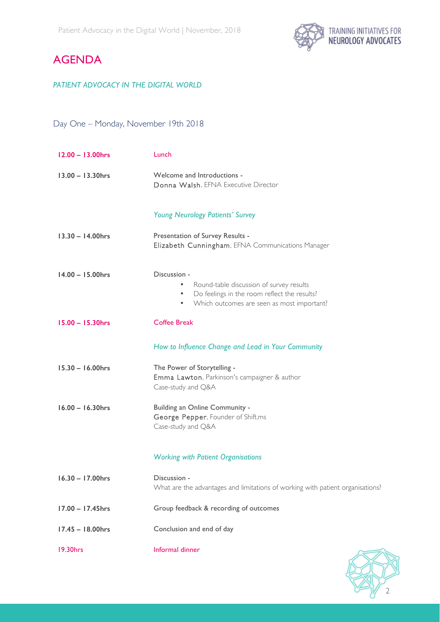

## AGENDA

#### *PATIENT ADVOCACY IN THE DIGITAL WORLD*

### Day One – Monday, November 19th 2018

| $12.00 - 13.00$ hrs | Lunch                                                                                                                                                                                 |
|---------------------|---------------------------------------------------------------------------------------------------------------------------------------------------------------------------------------|
| $13.00 - 13.30$ hrs | Welcome and Introductions -<br>Donna Walsh, EFNA Executive Director                                                                                                                   |
|                     | <b>Young Neurology Patients' Survey</b>                                                                                                                                               |
| $13.30 - 14.00$ hrs | Presentation of Survey Results -<br>Elizabeth Cunningham, EFNA Communications Manager                                                                                                 |
| $14.00 - 15.00$ hrs | Discussion -<br>Round-table discussion of survey results<br>٠<br>Do feelings in the room reflect the results?<br>$\bullet$<br>Which outcomes are seen as most important?<br>$\bullet$ |
| $15.00 - 15.30$ hrs | <b>Coffee Break</b>                                                                                                                                                                   |
|                     | How to Influence Change and Lead in Your Community                                                                                                                                    |
| $15.30 - 16.00$ hrs | The Power of Storytelling -<br>Emma Lawton, Parkinson's campaigner & author<br>Case-study and Q&A                                                                                     |
| $16.00 - 16.30$ hrs | Building an Online Community -<br>George Pepper, Founder of Shift.ms<br>Case-study and Q&A                                                                                            |
|                     | <b>Working with Patient Organisations</b>                                                                                                                                             |
| 16.30 - 17.00hrs    | Discussion -<br>What are the advantages and limitations of working with patient organisations?                                                                                        |
| 17.00 - 17.45hrs    | Group feedback & recording of outcomes                                                                                                                                                |
| $17.45 - 18.00$ hrs | Conclusion and end of day                                                                                                                                                             |
| 19.30hrs            | Informal dinner                                                                                                                                                                       |

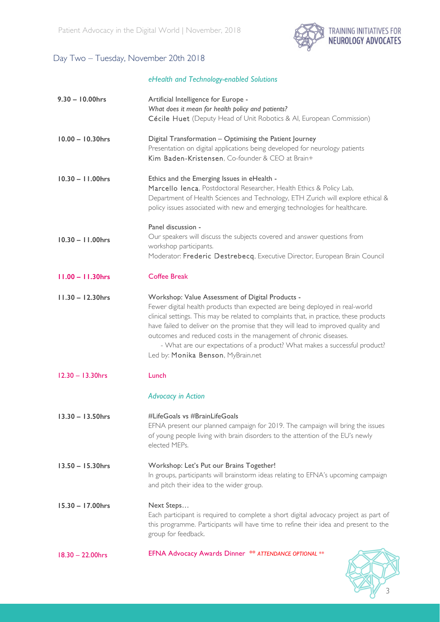

### Day Two – Tuesday, November 20th 2018

#### *eHealth and Technology-enabled Solutions*

| $9.30 - 10.00$ hrs  | Artificial Intelligence for Europe -<br>What does it mean for health policy and patients?<br>Cécile Huet (Deputy Head of Unit Robotics & Al, European Commission)                                                                                                                                                                                                                                                                                                                                        |
|---------------------|----------------------------------------------------------------------------------------------------------------------------------------------------------------------------------------------------------------------------------------------------------------------------------------------------------------------------------------------------------------------------------------------------------------------------------------------------------------------------------------------------------|
| $10.00 - 10.30$ hrs | Digital Transformation - Optimising the Patient Journey<br>Presentation on digital applications being developed for neurology patients<br>Kim Baden-Kristensen, Co-founder & CEO at Brain+                                                                                                                                                                                                                                                                                                               |
| $10.30 - 11.00$ hrs | Ethics and the Emerging Issues in eHealth -<br>Marcello Ienca, Postdoctoral Researcher, Health Ethics & Policy Lab,<br>Department of Health Sciences and Technology, ETH Zurich will explore ethical &<br>policy issues associated with new and emerging technologies for healthcare.                                                                                                                                                                                                                    |
| $10.30 - 11.00$ hrs | Panel discussion -<br>Our speakers will discuss the subjects covered and answer questions from<br>workshop participants.<br>Moderator: Frederic Destrebecq, Executive Director, European Brain Council                                                                                                                                                                                                                                                                                                   |
| $11.00 - 11.30$ hrs | <b>Coffee Break</b>                                                                                                                                                                                                                                                                                                                                                                                                                                                                                      |
| $11.30 - 12.30$ hrs | Workshop: Value Assessment of Digital Products -<br>Fewer digital health products than expected are being deployed in real-world<br>clinical settings. This may be related to complaints that, in practice, these products<br>have failed to deliver on the promise that they will lead to improved quality and<br>outcomes and reduced costs in the management of chronic diseases.<br>- What are our expectations of a product? What makes a successful product?<br>Led by: Monika Benson, MyBrain.net |
| $12.30 - 13.30$ hrs | Lunch                                                                                                                                                                                                                                                                                                                                                                                                                                                                                                    |
|                     | <b>Advocacy in Action</b>                                                                                                                                                                                                                                                                                                                                                                                                                                                                                |
| $13.30 - 13.50$ hrs | #LifeGoals vs #BrainLifeGoals<br>EFNA present our planned campaign for 2019. The campaign will bring the issues<br>of young people living with brain disorders to the attention of the EU's newly<br>elected MEPs.                                                                                                                                                                                                                                                                                       |
| $13.50 - 15.30$ hrs | Workshop: Let's Put our Brains Together!<br>In groups, participants will brainstorm ideas relating to EFNA's upcoming campaign<br>and pitch their idea to the wider group.                                                                                                                                                                                                                                                                                                                               |
| $15.30 - 17.00$ hrs | Next Steps<br>Each participant is required to complete a short digital advocacy project as part of<br>this programme. Participants will have time to refine their idea and present to the<br>group for feedback.                                                                                                                                                                                                                                                                                         |
| $18.30 - 22.00$ hrs | EFNA Advocacy Awards Dinner ** ATTENDANCE OPTIONAL **                                                                                                                                                                                                                                                                                                                                                                                                                                                    |